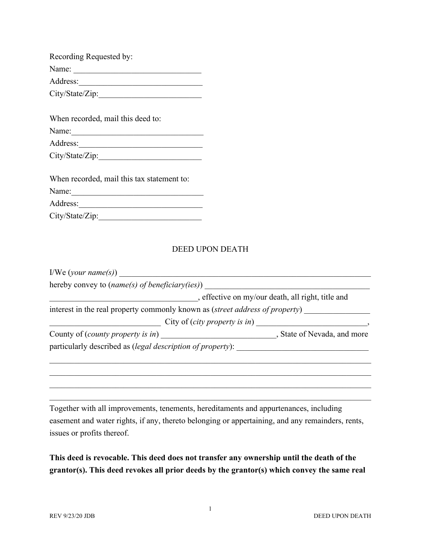| Recording Requested by:                                                                                                                                                                                                                                                                                                      |
|------------------------------------------------------------------------------------------------------------------------------------------------------------------------------------------------------------------------------------------------------------------------------------------------------------------------------|
| Name:                                                                                                                                                                                                                                                                                                                        |
| Address:                                                                                                                                                                                                                                                                                                                     |
| City/State/Zip:                                                                                                                                                                                                                                                                                                              |
|                                                                                                                                                                                                                                                                                                                              |
| When recorded, mail this deed to:                                                                                                                                                                                                                                                                                            |
| Name:                                                                                                                                                                                                                                                                                                                        |
| Address:                                                                                                                                                                                                                                                                                                                     |
| City/State/Zip:                                                                                                                                                                                                                                                                                                              |
|                                                                                                                                                                                                                                                                                                                              |
| $\frac{1}{2}$ $\frac{1}{2}$ $\frac{1}{2}$ $\frac{1}{2}$ $\frac{1}{2}$ $\frac{1}{2}$ $\frac{1}{2}$ $\frac{1}{2}$ $\frac{1}{2}$ $\frac{1}{2}$ $\frac{1}{2}$ $\frac{1}{2}$ $\frac{1}{2}$ $\frac{1}{2}$ $\frac{1}{2}$ $\frac{1}{2}$ $\frac{1}{2}$ $\frac{1}{2}$ $\frac{1}{2}$ $\frac{1}{2}$ $\frac{1}{2}$ $\frac{1}{2}$<br>TT 71 |

| when recorded, mail this tax statement to: |  |
|--------------------------------------------|--|
| Name:                                      |  |
| Address:                                   |  |
| City/State/Zip:                            |  |

## DEED UPON DEATH

| hereby convey to ( <i>name(s)</i> of <i>beneficiary(ies)</i> )                      |                                                   |
|-------------------------------------------------------------------------------------|---------------------------------------------------|
|                                                                                     | , effective on my/our death, all right, title and |
| interest in the real property commonly known as <i>(street address of property)</i> |                                                   |
|                                                                                     |                                                   |
|                                                                                     |                                                   |
| particularly described as <i>(legal description of property)</i> :                  |                                                   |
|                                                                                     |                                                   |
|                                                                                     |                                                   |
|                                                                                     |                                                   |
|                                                                                     |                                                   |

Together with all improvements, tenements, hereditaments and appurtenances, including easement and water rights, if any, thereto belonging or appertaining, and any remainders, rents, issues or profits thereof.

**This deed is revocable. This deed does not transfer any ownership until the death of the grantor(s). This deed revokes all prior deeds by the grantor(s) which convey the same real**